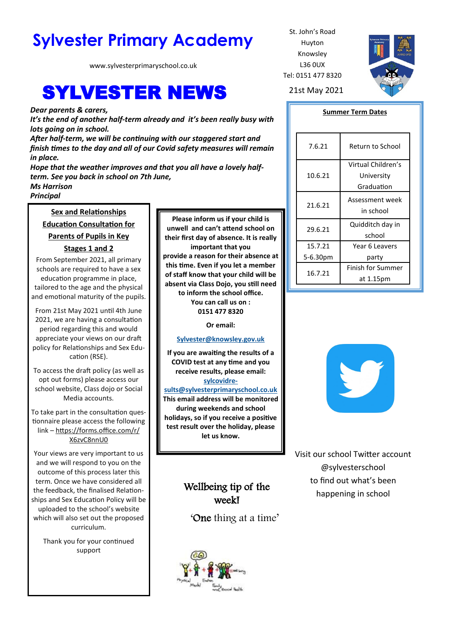# Sylvester Primary Academy St. John's Road

www.sylvesterprimaryschool.co.uk

# **SYLVESTER NEWS** 21st May 2021

*Dear parents & carers,*

*It's the end of another half-term already and it's been really busy with lots going on in school.*

*After half-term, we will be continuing with our staggered start and finish times to the day and all of our Covid safety measures will remain in place.*

*Hope that the weather improves and that you all have a lovely halfterm. See you back in school on 7th June, Ms Harrison*

*Principal*

### **Sex and Relationships Education Consultation for**

**Parents of Pupils in Key** 

#### **Stages 1 and 2**

From September 2021, all primary schools are required to have a sex education programme in place, tailored to the age and the physical and emotional maturity of the pupils.

From 21st May 2021 until 4th June 2021, we are having a consultation period regarding this and would appreciate your views on our draft policy for Relationships and Sex Education (RSE).

To access the draft policy (as well as opt out forms) please access our school website, Class dojo or Social Media accounts.

To take part in the consultation questionnaire please access the following link – [https://forms.office.com/r/](https://forms.office.com/r/X6zvC8nnU0) [X6zvC8nnU0](https://forms.office.com/r/X6zvC8nnU0)

Your views are very important to us and we will respond to you on the outcome of this process later this term. Once we have considered all the feedback, the finalised Relationships and Sex Education Policy will be uploaded to the school's website which will also set out the proposed curriculum.

Thank you for your continued support

**Please inform us if your child is unwell and can't attend school on their first day of absence. It is really important that you provide a reason for their absence at this time. Even if you let a member of staff know that your child will be absent via Class Dojo, you still need to inform the school office. You can call us on : 0151 477 8320**

**Or email:** 

#### **[Sylvester@knowsley.gov.uk](mailto:sylvesterprimaryschool.gov.uk)**

**If you are awaiting the results of a COVID test at any time and you receive results, please email: [sylcovidre-](mailto:sylcovidresults@sylvesterprimaryschool.co.uk)**

**[sults@sylvesterprimaryschool.co.uk](mailto:sylcovidresults@sylvesterprimaryschool.co.uk) This email address will be monitored during weekends and school holidays, so if you receive a positive test result over the holiday, please let us know.**

## Wellbeing tip of the week!

'One thing at a time'



Huyton Knowsley L36 0UX Tel: 0151 477 8320



#### **Summer Term Dates**

| 7.6.21   | Return to School   |
|----------|--------------------|
| 10.6.21  | Virtual Children's |
|          | University         |
|          | Graduation         |
| 21.6.21  | Assessment week    |
|          | in school          |
| 29.6.21  | Quidditch day in   |
|          | school             |
| 15.7.21  | Year 6 Leavers     |
| 5-6.30pm | party              |
| 16.7.21  | Finish for Summer  |
|          | at 1.15pm          |



Visit our school Twitter account @sylvesterschool to find out what's been happening in school